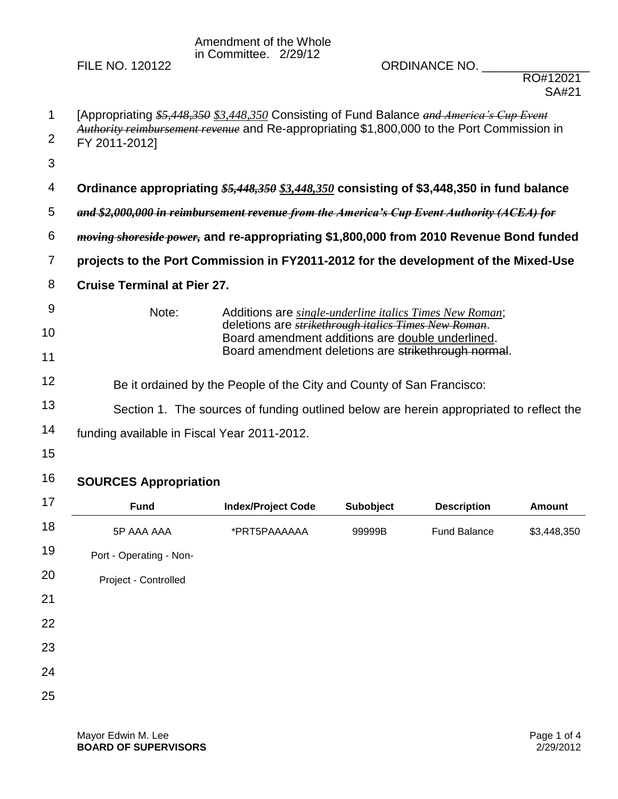Amendment of the Whole in Committee. 2/29/12

FILE NO. 120122 ORDINANCE NO. \_\_\_\_\_\_\_\_\_\_\_\_\_\_\_\_

| 1              | [Appropriating \$5,448,350 \$3,448,350 Consisting of Fund Balance and America's Cup Event                   |                                                                                           |                                                                                                                  |                     |               |  |  |
|----------------|-------------------------------------------------------------------------------------------------------------|-------------------------------------------------------------------------------------------|------------------------------------------------------------------------------------------------------------------|---------------------|---------------|--|--|
| 2              | Authority reimbursement revenue and Re-appropriating \$1,800,000 to the Port Commission in<br>FY 2011-2012] |                                                                                           |                                                                                                                  |                     |               |  |  |
| 3              |                                                                                                             |                                                                                           |                                                                                                                  |                     |               |  |  |
| 4              |                                                                                                             | Ordinance appropriating \$5,448,350 \$3,448,350 consisting of \$3,448,350 in fund balance |                                                                                                                  |                     |               |  |  |
| 5              | and \$2,000,000 in reimbursement revenue from the America's Cup Event Authority (ACEA) for                  |                                                                                           |                                                                                                                  |                     |               |  |  |
| 6              | <i>moving shoreside power</i> , and re-appropriating \$1,800,000 from 2010 Revenue Bond funded              |                                                                                           |                                                                                                                  |                     |               |  |  |
| $\overline{7}$ | projects to the Port Commission in FY2011-2012 for the development of the Mixed-Use                         |                                                                                           |                                                                                                                  |                     |               |  |  |
| 8              | <b>Cruise Terminal at Pier 27.</b>                                                                          |                                                                                           |                                                                                                                  |                     |               |  |  |
| 9              | Note:<br>Additions are single-underline italics Times New Roman;                                            |                                                                                           |                                                                                                                  |                     |               |  |  |
| 10             |                                                                                                             |                                                                                           | deletions are <i>strikethrough italics Times New Roman</i> .<br>Board amendment additions are double underlined. |                     |               |  |  |
| 11             |                                                                                                             | Board amendment deletions are strikethrough normal.                                       |                                                                                                                  |                     |               |  |  |
| 12             | Be it ordained by the People of the City and County of San Francisco:                                       |                                                                                           |                                                                                                                  |                     |               |  |  |
| 13             | Section 1. The sources of funding outlined below are herein appropriated to reflect the                     |                                                                                           |                                                                                                                  |                     |               |  |  |
| 14             | funding available in Fiscal Year 2011-2012.                                                                 |                                                                                           |                                                                                                                  |                     |               |  |  |
| 15             |                                                                                                             |                                                                                           |                                                                                                                  |                     |               |  |  |
| 16             | <b>SOURCES Appropriation</b>                                                                                |                                                                                           |                                                                                                                  |                     |               |  |  |
| 17             | <b>Fund</b>                                                                                                 | <b>Index/Project Code</b>                                                                 | Subobject                                                                                                        | <b>Description</b>  | <b>Amount</b> |  |  |
| 18             | 5P AAA AAA                                                                                                  | *PRT5PAAAAAA                                                                              | 99999B                                                                                                           | <b>Fund Balance</b> | \$3,448,350   |  |  |

| 19 | Port - Operating - Non- |
|----|-------------------------|
| 20 | Project - Controlled    |
| 21 |                         |
| 22 |                         |

- 23
- 24
- 
- 25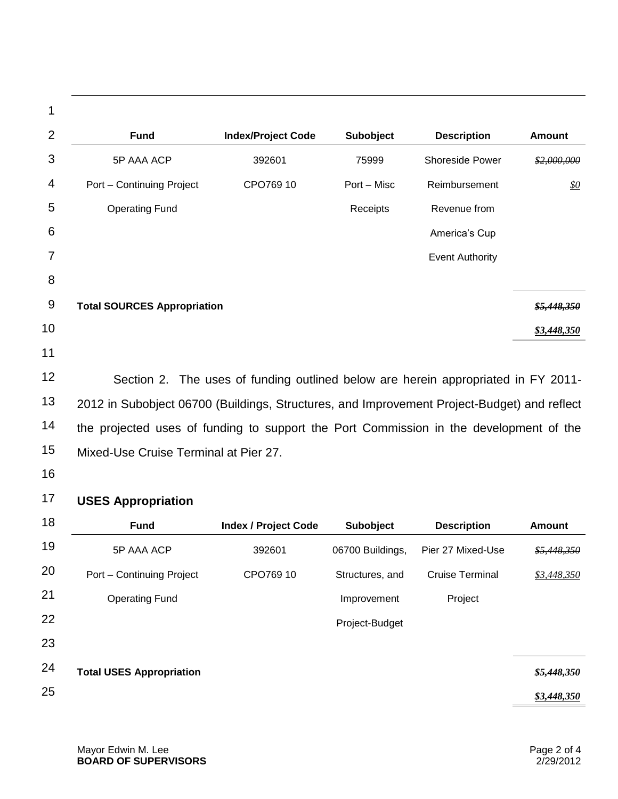| 1              |                                    |                             |             |                        |                           |
|----------------|------------------------------------|-----------------------------|-------------|------------------------|---------------------------|
| $\overline{2}$ | <b>Fund</b>                        | <b>Index/Project Code</b>   | Subobject   | <b>Description</b>     | <b>Amount</b>             |
| 3              | 5P AAA ACP                         | 392601                      | 75999       | <b>Shoreside Power</b> | \$2,000,000               |
| 4              | Port - Continuing Project          | CPO769 10                   | Port - Misc | Reimbursement          | <u>\$0</u>                |
| 5              | <b>Operating Fund</b>              |                             | Receipts    | Revenue from           |                           |
| 6              |                                    |                             |             | America's Cup          |                           |
| 7              |                                    |                             |             | <b>Event Authority</b> |                           |
| 8              |                                    |                             |             |                        |                           |
| 9              | <b>Total SOURCES Appropriation</b> |                             |             |                        | \$5,448,350               |
| 10             |                                    |                             |             |                        | \$3,448,350               |
| 11             |                                    |                             |             |                        |                           |
| 10             |                                    | $\sim$ $\sim$ $\sim$ $\sim$ |             | .                      | $\mathbf{r}$ $\mathbf{r}$ |

12 13 14 15 Section 2. The uses of funding outlined below are herein appropriated in FY 2011- 2012 in Subobject 06700 (Buildings, Structures, and Improvement Project-Budget) and reflect the projected uses of funding to support the Port Commission in the development of the Mixed-Use Cruise Terminal at Pier 27.

16

## 17 **USES Appropriation**

| 18 | <b>Fund</b>                     | <b>Index / Project Code</b> | <b>Subobject</b> | <b>Description</b>     | <b>Amount</b>          |
|----|---------------------------------|-----------------------------|------------------|------------------------|------------------------|
| 19 | 5P AAA ACP                      | 392601                      | 06700 Buildings, | Pier 27 Mixed-Use      | \$5,448,350            |
| 20 | Port - Continuing Project       | CPO769 10                   | Structures, and  | <b>Cruise Terminal</b> | \$3,448,350            |
| 21 | <b>Operating Fund</b>           |                             | Improvement      | Project                |                        |
| 22 |                                 |                             | Project-Budget   |                        |                        |
| 23 |                                 |                             |                  |                        |                        |
| 24 | <b>Total USES Appropriation</b> |                             |                  |                        | <del>\$5,448,350</del> |
| 25 |                                 |                             |                  |                        | \$3,448,350            |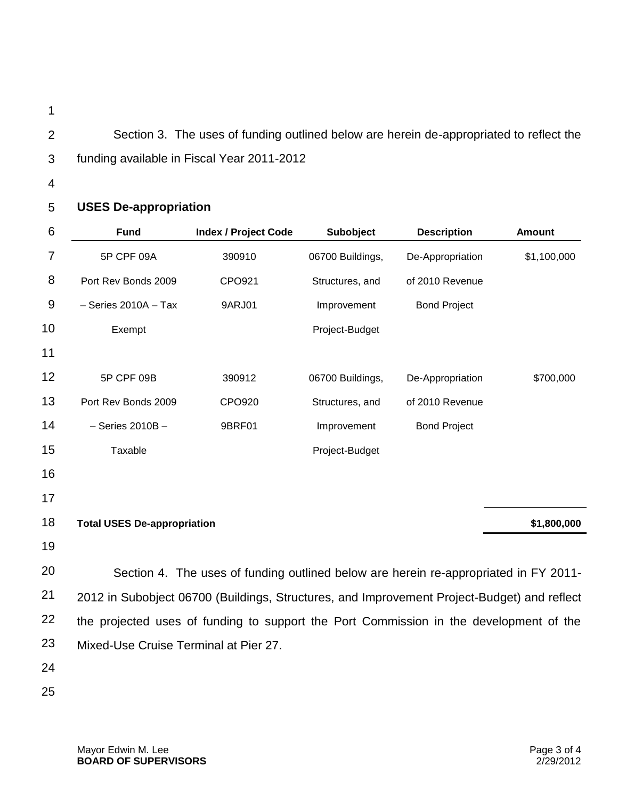- 1
- 2 3 Section 3. The uses of funding outlined below are herein de-appropriated to reflect the funding available in Fiscal Year 2011-2012
- 4

## 5 **USES De-appropriation**

| 6  | <b>Fund</b>                                                                                 | <b>Index / Project Code</b> | Subobject        | <b>Description</b>  | <b>Amount</b> |  |
|----|---------------------------------------------------------------------------------------------|-----------------------------|------------------|---------------------|---------------|--|
| 7  | 5P CPF 09A                                                                                  | 390910                      | 06700 Buildings, | De-Appropriation    | \$1,100,000   |  |
| 8  | Port Rev Bonds 2009                                                                         | CPO921                      | Structures, and  | of 2010 Revenue     |               |  |
| 9  | $-$ Series 2010A $-$ Tax                                                                    | 9ARJ01                      | Improvement      | <b>Bond Project</b> |               |  |
| 10 | Exempt                                                                                      |                             | Project-Budget   |                     |               |  |
| 11 |                                                                                             |                             |                  |                     |               |  |
| 12 | 5P CPF 09B                                                                                  | 390912                      | 06700 Buildings, | De-Appropriation    | \$700,000     |  |
| 13 | Port Rev Bonds 2009                                                                         | CPO920                      | Structures, and  | of 2010 Revenue     |               |  |
| 14 | $-$ Series 2010B $-$                                                                        | 9BRF01                      | Improvement      | <b>Bond Project</b> |               |  |
| 15 | Taxable                                                                                     |                             | Project-Budget   |                     |               |  |
| 16 |                                                                                             |                             |                  |                     |               |  |
| 17 |                                                                                             |                             |                  |                     |               |  |
| 18 | <b>Total USES De-appropriation</b>                                                          |                             |                  |                     | \$1,800,000   |  |
| 19 |                                                                                             |                             |                  |                     |               |  |
| 20 | Section 4. The uses of funding outlined below are herein re-appropriated in FY 2011-        |                             |                  |                     |               |  |
| 21 | 2012 in Subobject 06700 (Buildings, Structures, and Improvement Project-Budget) and reflect |                             |                  |                     |               |  |
| 22 | the projected uses of funding to support the Port Commission in the development of the      |                             |                  |                     |               |  |
| 23 | Mixed-Use Cruise Terminal at Pier 27.                                                       |                             |                  |                     |               |  |
| 24 |                                                                                             |                             |                  |                     |               |  |

25